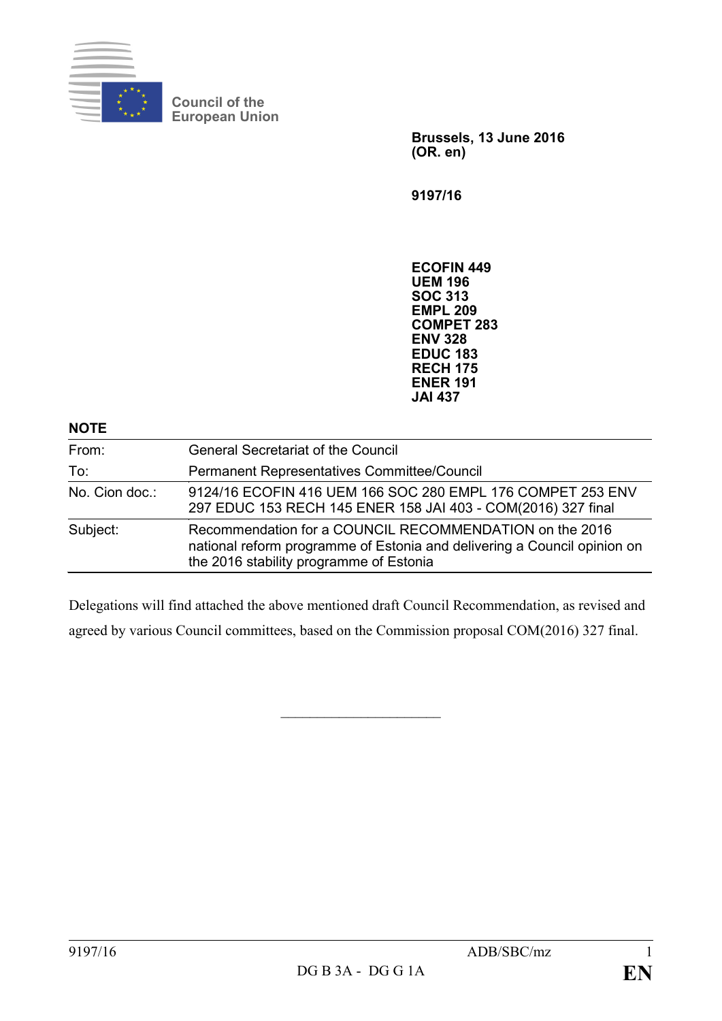

**Council of the European Union**

> **Brussels, 13 June 2016 (OR. en)**

**9197/16**

**ECOFIN 449 UEM 196 SOC 313 EMPL 209 COMPET 283 ENV 328 EDUC 183 RECH 175 ENER 191 JAI 437**

| <b>NOTE</b>    |                                                                                                                                                                                |
|----------------|--------------------------------------------------------------------------------------------------------------------------------------------------------------------------------|
| From:          | <b>General Secretariat of the Council</b>                                                                                                                                      |
| To:            | Permanent Representatives Committee/Council                                                                                                                                    |
| No. Cion doc.: | 9124/16 ECOFIN 416 UEM 166 SOC 280 EMPL 176 COMPET 253 ENV<br>297 EDUC 153 RECH 145 ENER 158 JAI 403 - COM(2016) 327 final                                                     |
| Subject:       | Recommendation for a COUNCIL RECOMMENDATION on the 2016<br>national reform programme of Estonia and delivering a Council opinion on<br>the 2016 stability programme of Estonia |

Delegations will find attached the above mentioned draft Council Recommendation, as revised and agreed by various Council committees, based on the Commission proposal COM(2016) 327 final.

 $\overline{\phantom{a}}$  , where  $\overline{\phantom{a}}$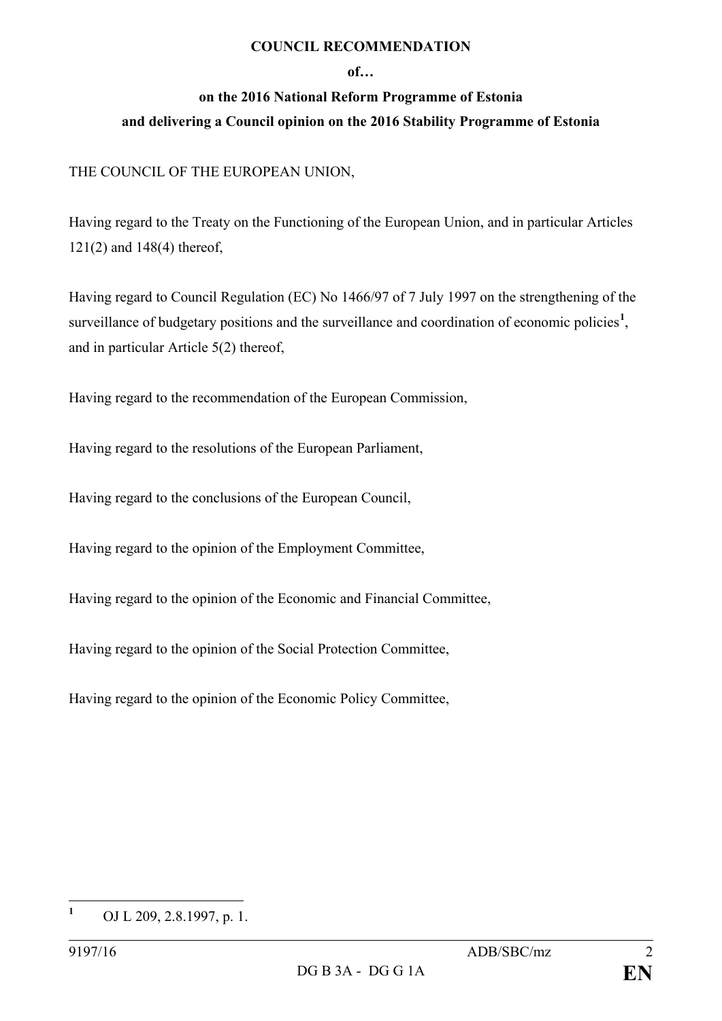## **COUNCIL RECOMMENDATION**

## **of…**

## **on the 2016 National Reform Programme of Estonia and delivering a Council opinion on the 2016 Stability Programme of Estonia**

## THE COUNCIL OF THE EUROPEAN UNION,

Having regard to the Treaty on the Functioning of the European Union, and in particular Articles 121(2) and 148(4) thereof,

Having regard to Council Regulation (EC) No 1466/97 of 7 July 1997 on the strengthening of the surveillance of budgetary positions and the surveillance and coordination of economic policies<sup>[1](#page-1-0)</sup>, and in particular Article 5(2) thereof,

Having regard to the recommendation of the European Commission,

Having regard to the resolutions of the European Parliament,

Having regard to the conclusions of the European Council,

Having regard to the opinion of the Employment Committee,

Having regard to the opinion of the Economic and Financial Committee,

Having regard to the opinion of the Social Protection Committee,

Having regard to the opinion of the Economic Policy Committee,

<span id="page-1-0"></span>**<sup>1</sup>** OJ L 209, 2.8.1997, p. 1.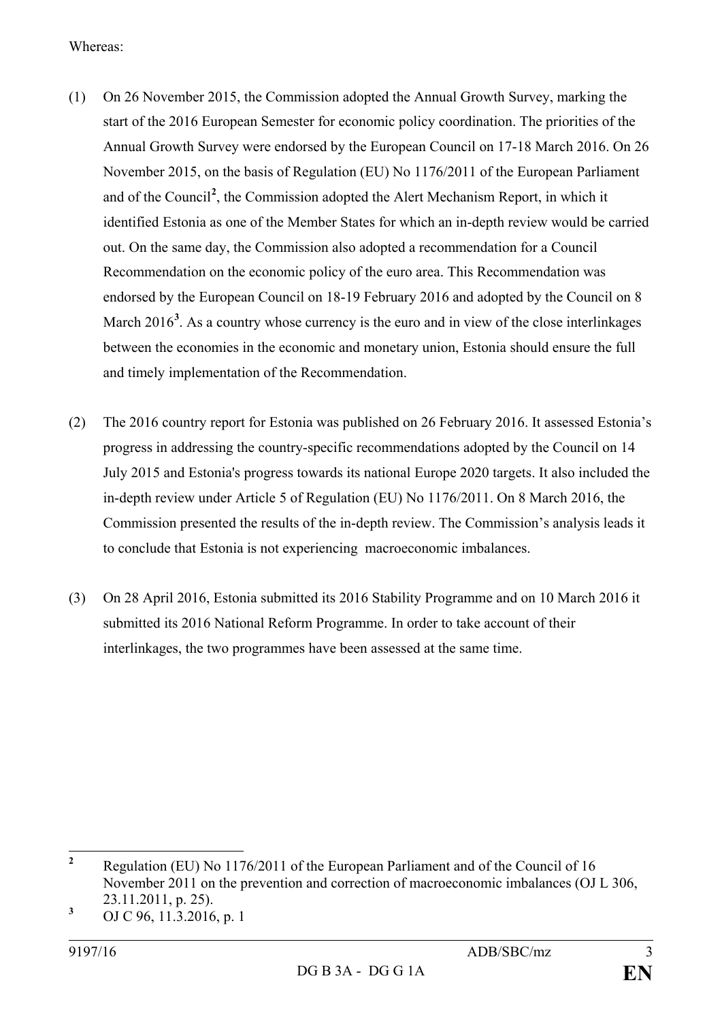Whereas:

- (1) On 26 November 2015, the Commission adopted the Annual Growth Survey, marking the start of the 2016 European Semester for economic policy coordination. The priorities of the Annual Growth Survey were endorsed by the European Council on 17-18 March 2016. On 26 November 2015, on the basis of Regulation (EU) No 1176/2011 of the European Parliament and of the Council**[2](#page-2-0)** , the Commission adopted the Alert Mechanism Report, in which it identified Estonia as one of the Member States for which an in-depth review would be carried out. On the same day, the Commission also adopted a recommendation for a Council Recommendation on the economic policy of the euro area. This Recommendation was endorsed by the European Council on 18-19 February 2016 and adopted by the Council on 8 March 2016<sup>[3](#page-2-1)</sup>. As a country whose currency is the euro and in view of the close interlinkages between the economies in the economic and monetary union, Estonia should ensure the full and timely implementation of the Recommendation.
- (2) The 2016 country report for Estonia was published on 26 February 2016. It assessed Estonia's progress in addressing the country-specific recommendations adopted by the Council on 14 July 2015 and Estonia's progress towards its national Europe 2020 targets. It also included the in-depth review under Article 5 of Regulation (EU) No 1176/2011. On 8 March 2016, the Commission presented the results of the in-depth review. The Commission's analysis leads it to conclude that Estonia is not experiencing macroeconomic imbalances.
- (3) On 28 April 2016, Estonia submitted its 2016 Stability Programme and on 10 March 2016 it submitted its 2016 National Reform Programme. In order to take account of their interlinkages, the two programmes have been assessed at the same time.

<span id="page-2-0"></span>**<sup>2</sup>** Regulation (EU) No 1176/2011 of the European Parliament and of the Council of 16 November 2011 on the prevention and correction of macroeconomic imbalances (OJ L 306, 23.11.2011, p. 25).

<span id="page-2-1"></span>**<sup>3</sup>** OJ C 96, 11.3.2016, p. 1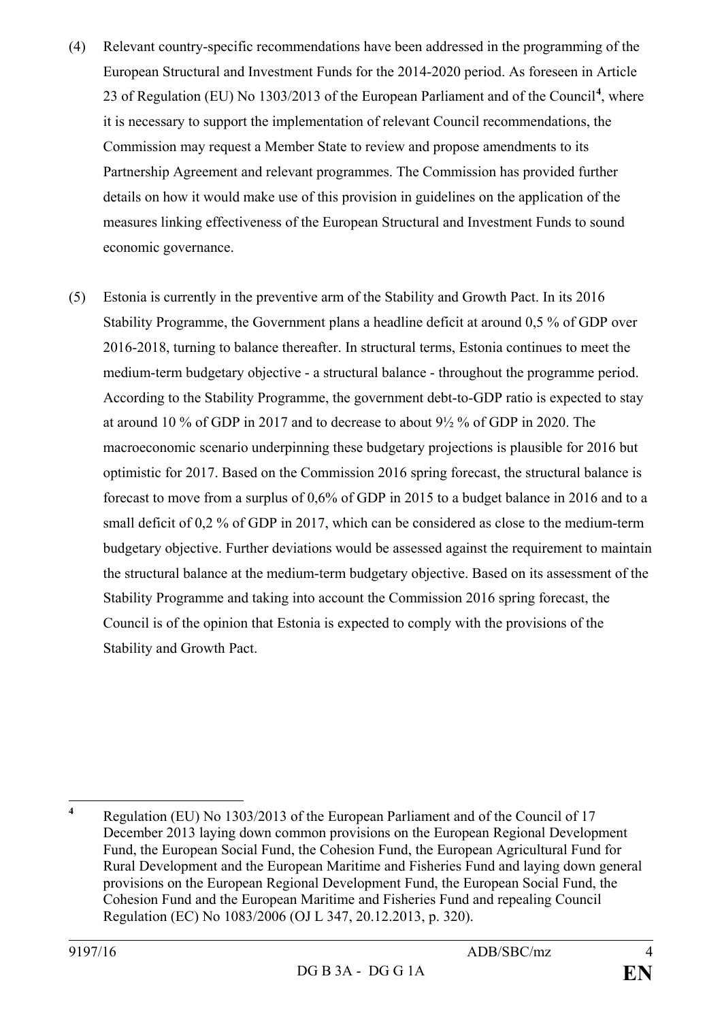- (4) Relevant country-specific recommendations have been addressed in the programming of the European Structural and Investment Funds for the 2014-2020 period. As foreseen in Article 23 of Regulation (EU) No 1303/2013 of the European Parliament and of the Council**[4](#page-3-0)** , where it is necessary to support the implementation of relevant Council recommendations, the Commission may request a Member State to review and propose amendments to its Partnership Agreement and relevant programmes. The Commission has provided further details on how it would make use of this provision in guidelines on the application of the measures linking effectiveness of the European Structural and Investment Funds to sound economic governance.
- (5) Estonia is currently in the preventive arm of the Stability and Growth Pact. In its 2016 Stability Programme, the Government plans a headline deficit at around 0,5 % of GDP over 2016-2018, turning to balance thereafter. In structural terms, Estonia continues to meet the medium-term budgetary objective - a structural balance - throughout the programme period. According to the Stability Programme, the government debt-to-GDP ratio is expected to stay at around 10 % of GDP in 2017 and to decrease to about 9½ % of GDP in 2020. The macroeconomic scenario underpinning these budgetary projections is plausible for 2016 but optimistic for 2017. Based on the Commission 2016 spring forecast, the structural balance is forecast to move from a surplus of 0,6% of GDP in 2015 to a budget balance in 2016 and to a small deficit of 0,2 % of GDP in 2017, which can be considered as close to the medium-term budgetary objective. Further deviations would be assessed against the requirement to maintain the structural balance at the medium-term budgetary objective. Based on its assessment of the Stability Programme and taking into account the Commission 2016 spring forecast, the Council is of the opinion that Estonia is expected to comply with the provisions of the Stability and Growth Pact.

<span id="page-3-0"></span>**<sup>4</sup>** Regulation (EU) No 1303/2013 of the European Parliament and of the Council of 17 December 2013 laying down common provisions on the European Regional Development Fund, the European Social Fund, the Cohesion Fund, the European Agricultural Fund for Rural Development and the European Maritime and Fisheries Fund and laying down general provisions on the European Regional Development Fund, the European Social Fund, the Cohesion Fund and the European Maritime and Fisheries Fund and repealing Council Regulation (EC) No 1083/2006 (OJ L 347, 20.12.2013, p. 320).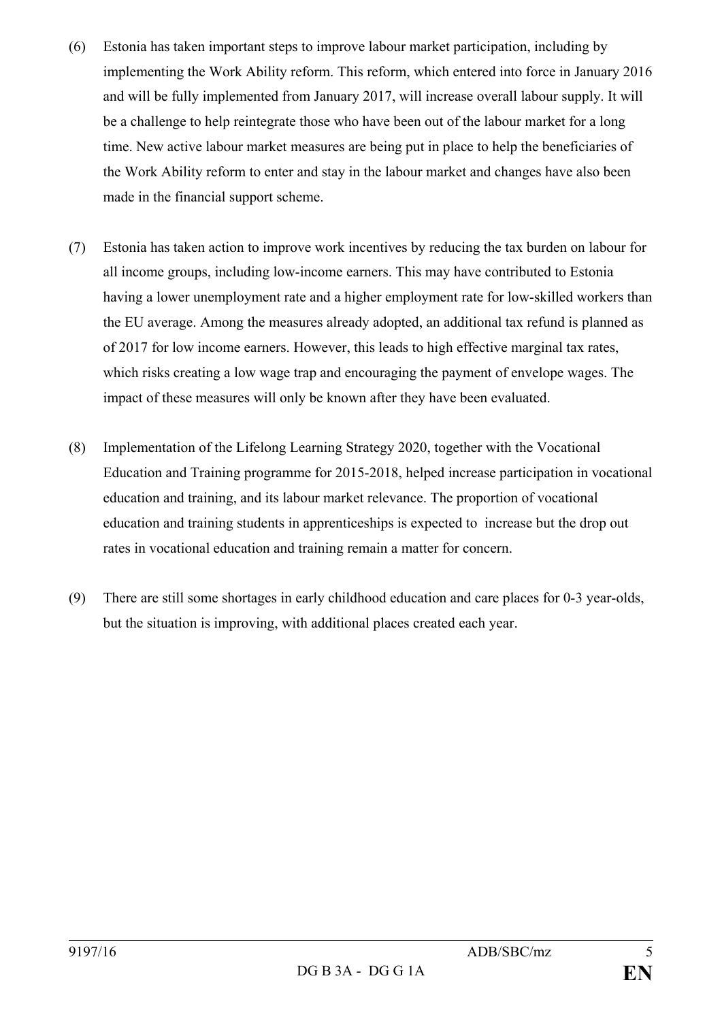- (6) Estonia has taken important steps to improve labour market participation, including by implementing the Work Ability reform. This reform, which entered into force in January 2016 and will be fully implemented from January 2017, will increase overall labour supply. It will be a challenge to help reintegrate those who have been out of the labour market for a long time. New active labour market measures are being put in place to help the beneficiaries of the Work Ability reform to enter and stay in the labour market and changes have also been made in the financial support scheme.
- (7) Estonia has taken action to improve work incentives by reducing the tax burden on labour for all income groups, including low-income earners. This may have contributed to Estonia having a lower unemployment rate and a higher employment rate for low-skilled workers than the EU average. Among the measures already adopted, an additional tax refund is planned as of 2017 for low income earners. However, this leads to high effective marginal tax rates, which risks creating a low wage trap and encouraging the payment of envelope wages. The impact of these measures will only be known after they have been evaluated.
- (8) Implementation of the Lifelong Learning Strategy 2020, together with the Vocational Education and Training programme for 2015-2018, helped increase participation in vocational education and training, and its labour market relevance. The proportion of vocational education and training students in apprenticeships is expected to increase but the drop out rates in vocational education and training remain a matter for concern.
- (9) There are still some shortages in early childhood education and care places for 0-3 year-olds, but the situation is improving, with additional places created each year.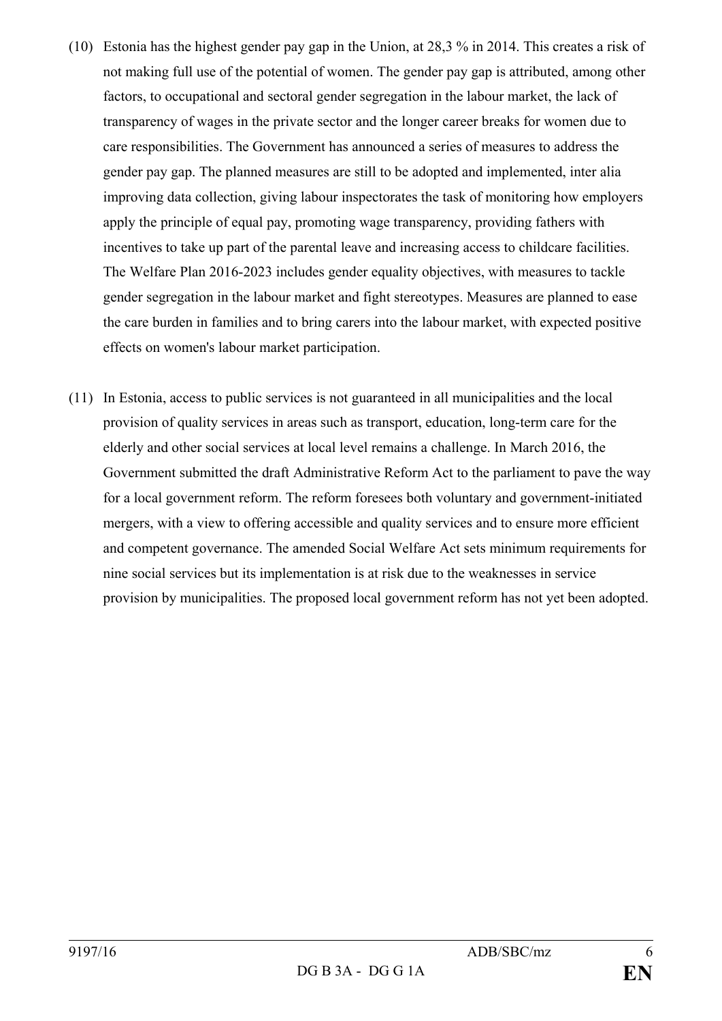- (10) Estonia has the highest gender pay gap in the Union, at 28,3 % in 2014. This creates a risk of not making full use of the potential of women. The gender pay gap is attributed, among other factors, to occupational and sectoral gender segregation in the labour market, the lack of transparency of wages in the private sector and the longer career breaks for women due to care responsibilities. The Government has announced a series of measures to address the gender pay gap. The planned measures are still to be adopted and implemented, inter alia improving data collection, giving labour inspectorates the task of monitoring how employers apply the principle of equal pay, promoting wage transparency, providing fathers with incentives to take up part of the parental leave and increasing access to childcare facilities. The Welfare Plan 2016-2023 includes gender equality objectives, with measures to tackle gender segregation in the labour market and fight stereotypes. Measures are planned to ease the care burden in families and to bring carers into the labour market, with expected positive effects on women's labour market participation.
- (11) In Estonia, access to public services is not guaranteed in all municipalities and the local provision of quality services in areas such as transport, education, long-term care for the elderly and other social services at local level remains a challenge. In March 2016, the Government submitted the draft Administrative Reform Act to the parliament to pave the way for a local government reform. The reform foresees both voluntary and government-initiated mergers, with a view to offering accessible and quality services and to ensure more efficient and competent governance. The amended Social Welfare Act sets minimum requirements for nine social services but its implementation is at risk due to the weaknesses in service provision by municipalities. The proposed local government reform has not yet been adopted.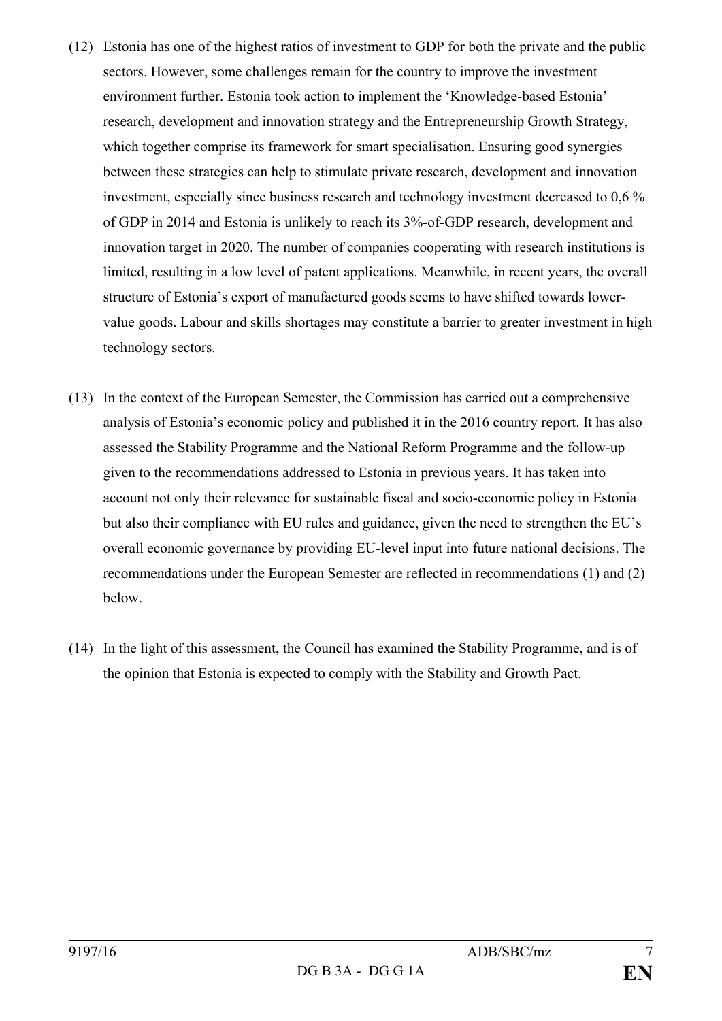- (12) Estonia has one of the highest ratios of investment to GDP for both the private and the public sectors. However, some challenges remain for the country to improve the investment environment further. Estonia took action to implement the 'Knowledge-based Estonia' research, development and innovation strategy and the Entrepreneurship Growth Strategy, which together comprise its framework for smart specialisation. Ensuring good synergies between these strategies can help to stimulate private research, development and innovation investment, especially since business research and technology investment decreased to 0,6 % of GDP in 2014 and Estonia is unlikely to reach its 3%-of-GDP research, development and innovation target in 2020. The number of companies cooperating with research institutions is limited, resulting in a low level of patent applications. Meanwhile, in recent years, the overall structure of Estonia's export of manufactured goods seems to have shifted towards lowervalue goods. Labour and skills shortages may constitute a barrier to greater investment in high technology sectors.
- (13) In the context of the European Semester, the Commission has carried out a comprehensive analysis of Estonia's economic policy and published it in the 2016 country report. It has also assessed the Stability Programme and the National Reform Programme and the follow-up given to the recommendations addressed to Estonia in previous years. It has taken into account not only their relevance for sustainable fiscal and socio-economic policy in Estonia but also their compliance with EU rules and guidance, given the need to strengthen the EU's overall economic governance by providing EU-level input into future national decisions. The recommendations under the European Semester are reflected in recommendations (1) and (2) below.
- (14) In the light of this assessment, the Council has examined the Stability Programme, and is of the opinion that Estonia is expected to comply with the Stability and Growth Pact.